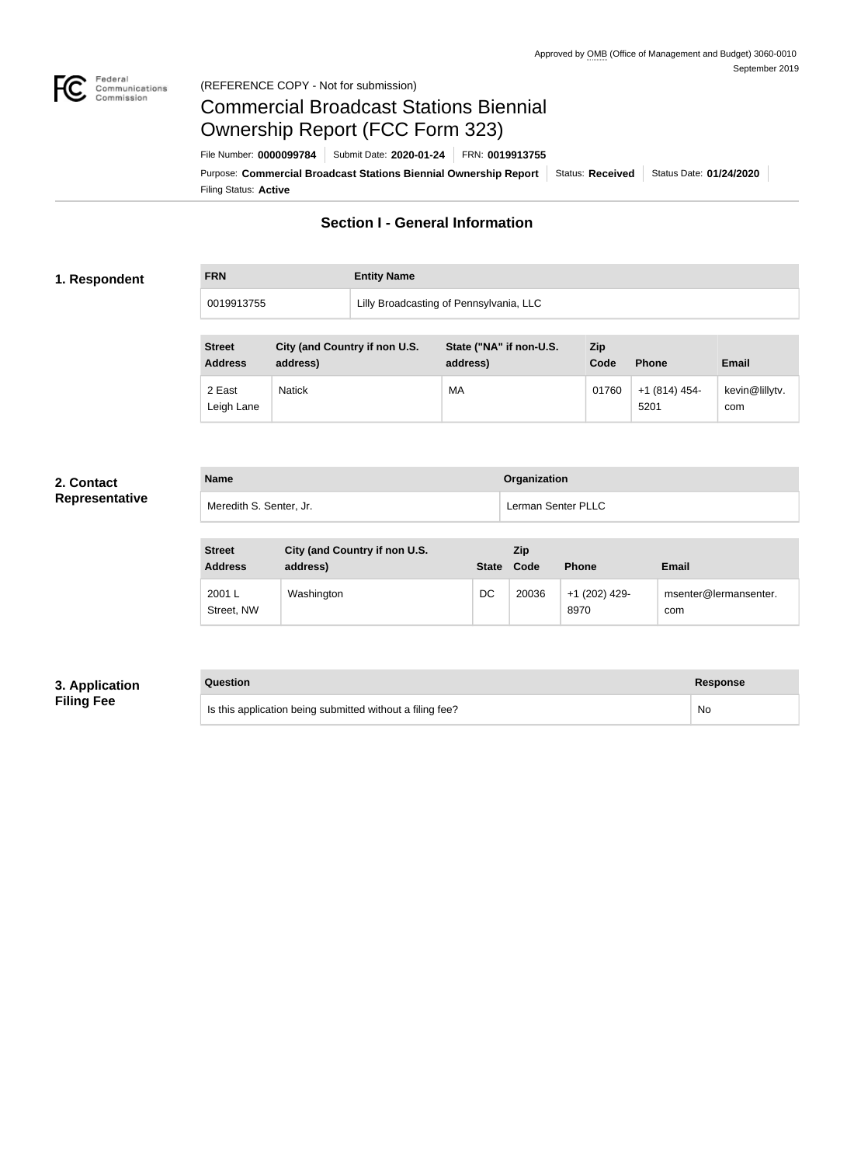

#### Federal<br>Communications<br>Commission (REFERENCE COPY - Not for submission)

# Commercial Broadcast Stations Biennial Ownership Report (FCC Form 323)

Filing Status: **Active** Purpose: Commercial Broadcast Stations Biennial Ownership Report Status: Received Status Date: 01/24/2020 File Number: **0000099784** Submit Date: **2020-01-24** FRN: **0019913755**

# **Section I - General Information**

#### **1. Respondent**

**FRN Entity Name**

0019913755 Lilly Broadcasting of Pennsylvania, LLC

| <b>Street</b><br><b>Address</b> | City (and Country if non U.S.<br>address) | State ("NA" if non-U.S.<br>address) | <b>Zip</b><br>Code | <b>Phone</b>          | <b>Email</b>          |
|---------------------------------|-------------------------------------------|-------------------------------------|--------------------|-----------------------|-----------------------|
| 2 East<br>Leigh Lane            | <b>Natick</b>                             | МA                                  | 01760              | $+1(814)454-$<br>5201 | kevin@lillytv.<br>com |

#### **2. Contact Representative**

| <b>Name</b>             | <b>Organization</b> |
|-------------------------|---------------------|
| Meredith S. Senter, Jr. | Lerman Senter PLLC  |

| <b>Street</b><br><b>Address</b> | City (and Country if non U.S.<br>address) | <b>State</b> | <b>Zip</b><br>Code | <b>Phone</b>          | <b>Email</b>                 |
|---------------------------------|-------------------------------------------|--------------|--------------------|-----------------------|------------------------------|
| 2001 L<br>Street, NW            | Washington                                | DC           | 20036              | +1 (202) 429-<br>8970 | msenter@lermansenter.<br>com |

#### **3. Application Filing Fee**

**Question Response**

| Is this application being submitted without a filing fee? | No. |
|-----------------------------------------------------------|-----|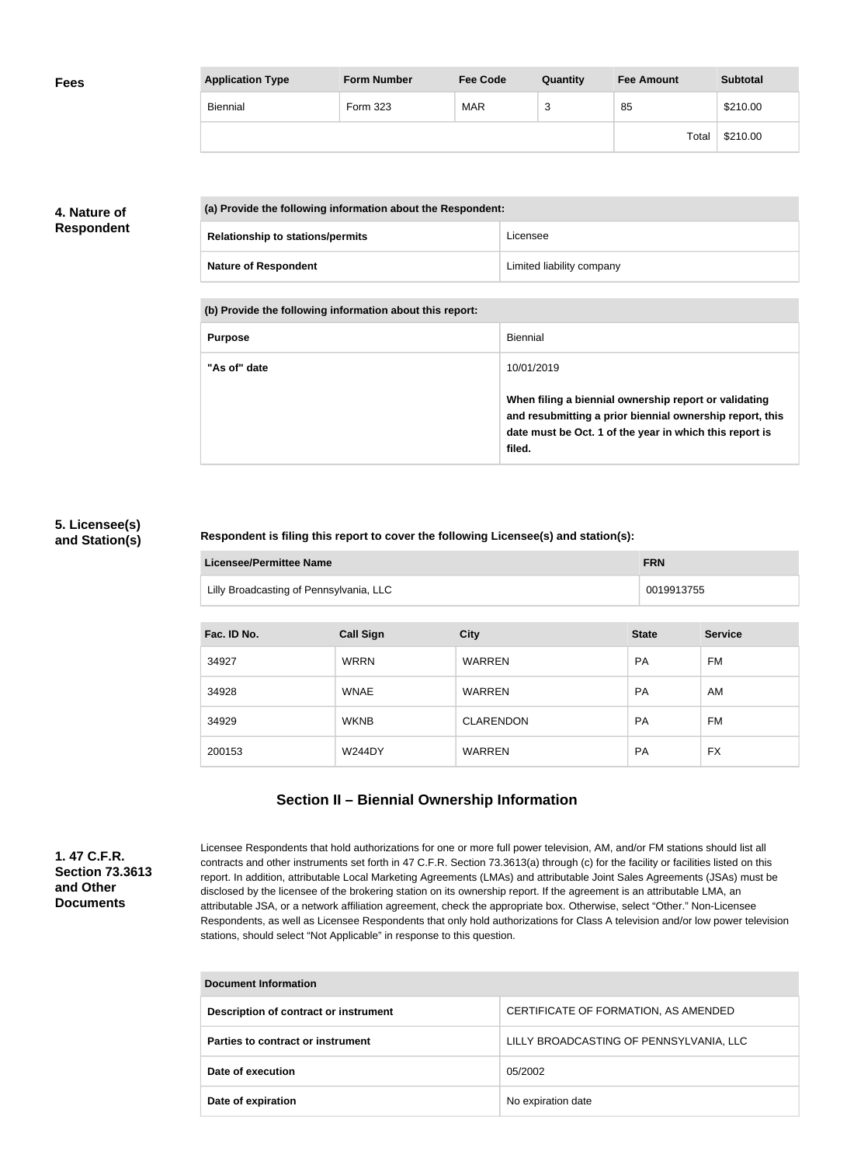| <b>Fees</b> | <b>Application Type</b> | <b>Form Number</b> | <b>Fee Code</b> | Quantity | <b>Fee Amount</b> | <b>Subtotal</b> |
|-------------|-------------------------|--------------------|-----------------|----------|-------------------|-----------------|
|             | Biennial                | Form 323           | <b>MAR</b>      | ົ<br>د   | 85                | \$210.00        |
|             |                         |                    |                 |          | Total             | \$210.00        |

# **4. Nature of Respondent**

|  | (a) Provide the following information about the Respondent: |                           |  |
|--|-------------------------------------------------------------|---------------------------|--|
|  | <b>Relationship to stations/permits</b>                     | Licensee                  |  |
|  | <b>Nature of Respondent</b>                                 | Limited liability company |  |

**(b) Provide the following information about this report:**

| <b>Purpose</b> | Biennial                                                                                                                                                                               |
|----------------|----------------------------------------------------------------------------------------------------------------------------------------------------------------------------------------|
| "As of" date   | 10/01/2019                                                                                                                                                                             |
|                | When filing a biennial ownership report or validating<br>and resubmitting a prior biennial ownership report, this<br>date must be Oct. 1 of the year in which this report is<br>filed. |

### **5. Licensee(s) and Station(s)**

#### **Respondent is filing this report to cover the following Licensee(s) and station(s):**

| Licensee/Permittee Name                 | <b>FRN</b> |
|-----------------------------------------|------------|
| Lilly Broadcasting of Pennsylvania, LLC | 0019913755 |

| Fac. ID No. | <b>Call Sign</b> | <b>City</b>      | <b>State</b> | <b>Service</b> |
|-------------|------------------|------------------|--------------|----------------|
| 34927       | <b>WRRN</b>      | <b>WARREN</b>    | <b>PA</b>    | FM             |
| 34928       | <b>WNAE</b>      | <b>WARREN</b>    | <b>PA</b>    | AM             |
| 34929       | <b>WKNB</b>      | <b>CLARENDON</b> | <b>PA</b>    | FM.            |
| 200153      | <b>W244DY</b>    | <b>WARREN</b>    | <b>PA</b>    | <b>FX</b>      |

# **Section II – Biennial Ownership Information**

**1. 47 C.F.R. Section 73.3613 and Other Documents**

Licensee Respondents that hold authorizations for one or more full power television, AM, and/or FM stations should list all contracts and other instruments set forth in 47 C.F.R. Section 73.3613(a) through (c) for the facility or facilities listed on this report. In addition, attributable Local Marketing Agreements (LMAs) and attributable Joint Sales Agreements (JSAs) must be disclosed by the licensee of the brokering station on its ownership report. If the agreement is an attributable LMA, an attributable JSA, or a network affiliation agreement, check the appropriate box. Otherwise, select "Other." Non-Licensee Respondents, as well as Licensee Respondents that only hold authorizations for Class A television and/or low power television stations, should select "Not Applicable" in response to this question.

| <b>Document Information</b>           |                                         |  |
|---------------------------------------|-----------------------------------------|--|
| Description of contract or instrument | CERTIFICATE OF FORMATION, AS AMENDED    |  |
| Parties to contract or instrument     | LILLY BROADCASTING OF PENNSYLVANIA, LLC |  |
| Date of execution                     | 05/2002                                 |  |
| Date of expiration                    | No expiration date                      |  |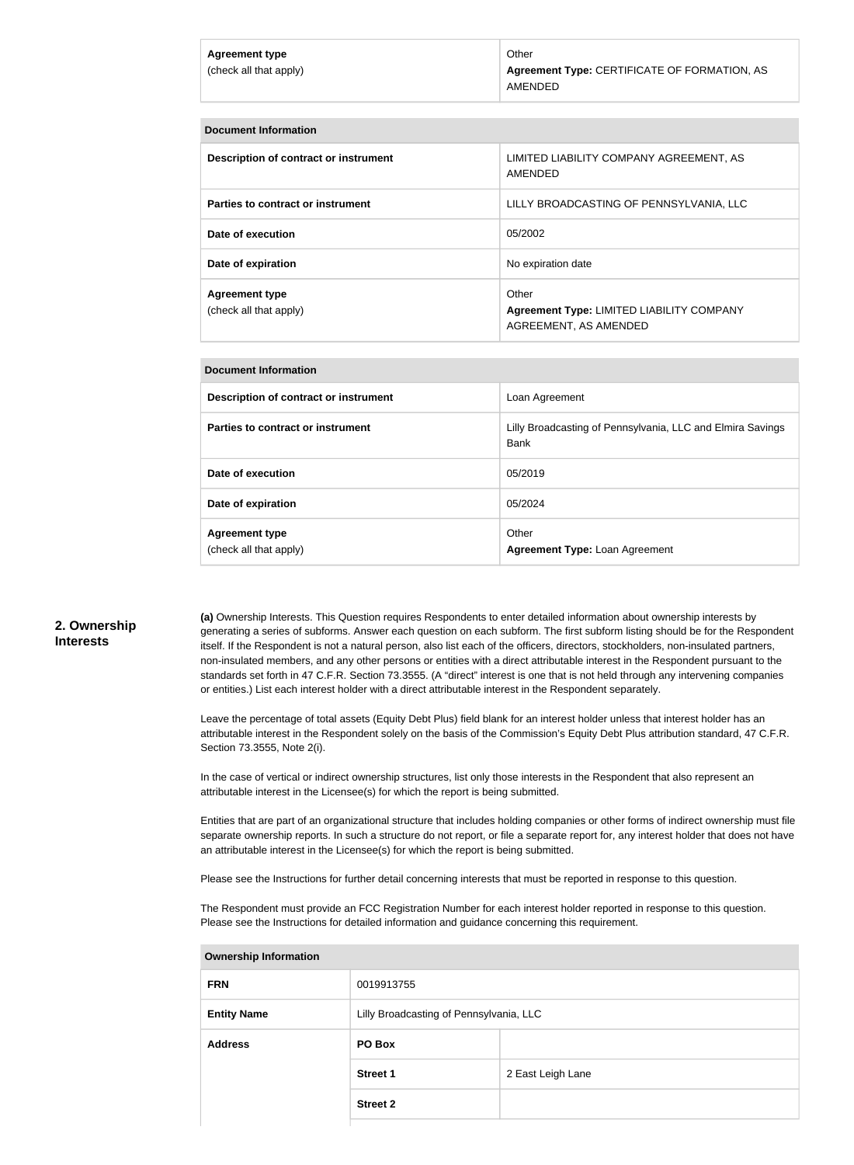| Agreement type<br>(check all that apply) | Other<br>Agreement Type: CERTIFICATE OF FORMATION, AS<br>AMENDED |
|------------------------------------------|------------------------------------------------------------------|
|                                          |                                                                  |

| <b>Document Information</b>                     |                                                                             |
|-------------------------------------------------|-----------------------------------------------------------------------------|
| Description of contract or instrument           | LIMITED LIABILITY COMPANY AGREEMENT, AS<br>AMENDED                          |
| Parties to contract or instrument               | LILLY BROADCASTING OF PENNSYLVANIA, LLC                                     |
| Date of execution                               | 05/2002                                                                     |
| Date of expiration                              | No expiration date                                                          |
| <b>Agreement type</b><br>(check all that apply) | Other<br>Agreement Type: LIMITED LIABILITY COMPANY<br>AGREEMENT, AS AMENDED |

#### **Document Information**

| Description of contract or instrument           | Loan Agreement                                                     |
|-------------------------------------------------|--------------------------------------------------------------------|
| Parties to contract or instrument               | Lilly Broadcasting of Pennsylvania, LLC and Elmira Savings<br>Bank |
| Date of execution                               | 05/2019                                                            |
| Date of expiration                              | 05/2024                                                            |
| <b>Agreement type</b><br>(check all that apply) | Other<br>Agreement Type: Loan Agreement                            |

#### **2. Ownership Interests**

**(a)** Ownership Interests. This Question requires Respondents to enter detailed information about ownership interests by generating a series of subforms. Answer each question on each subform. The first subform listing should be for the Respondent itself. If the Respondent is not a natural person, also list each of the officers, directors, stockholders, non-insulated partners, non-insulated members, and any other persons or entities with a direct attributable interest in the Respondent pursuant to the standards set forth in 47 C.F.R. Section 73.3555. (A "direct" interest is one that is not held through any intervening companies or entities.) List each interest holder with a direct attributable interest in the Respondent separately.

Leave the percentage of total assets (Equity Debt Plus) field blank for an interest holder unless that interest holder has an attributable interest in the Respondent solely on the basis of the Commission's Equity Debt Plus attribution standard, 47 C.F.R. Section 73.3555, Note 2(i).

In the case of vertical or indirect ownership structures, list only those interests in the Respondent that also represent an attributable interest in the Licensee(s) for which the report is being submitted.

Entities that are part of an organizational structure that includes holding companies or other forms of indirect ownership must file separate ownership reports. In such a structure do not report, or file a separate report for, any interest holder that does not have an attributable interest in the Licensee(s) for which the report is being submitted.

Please see the Instructions for further detail concerning interests that must be reported in response to this question.

The Respondent must provide an FCC Registration Number for each interest holder reported in response to this question. Please see the Instructions for detailed information and guidance concerning this requirement.

| <b>Ownership Information</b> |                                         |                   |  |
|------------------------------|-----------------------------------------|-------------------|--|
| <b>FRN</b>                   | 0019913755                              |                   |  |
| <b>Entity Name</b>           | Lilly Broadcasting of Pennsylvania, LLC |                   |  |
| <b>Address</b>               | PO Box                                  |                   |  |
|                              | <b>Street 1</b>                         | 2 East Leigh Lane |  |
|                              | <b>Street 2</b>                         |                   |  |
|                              |                                         |                   |  |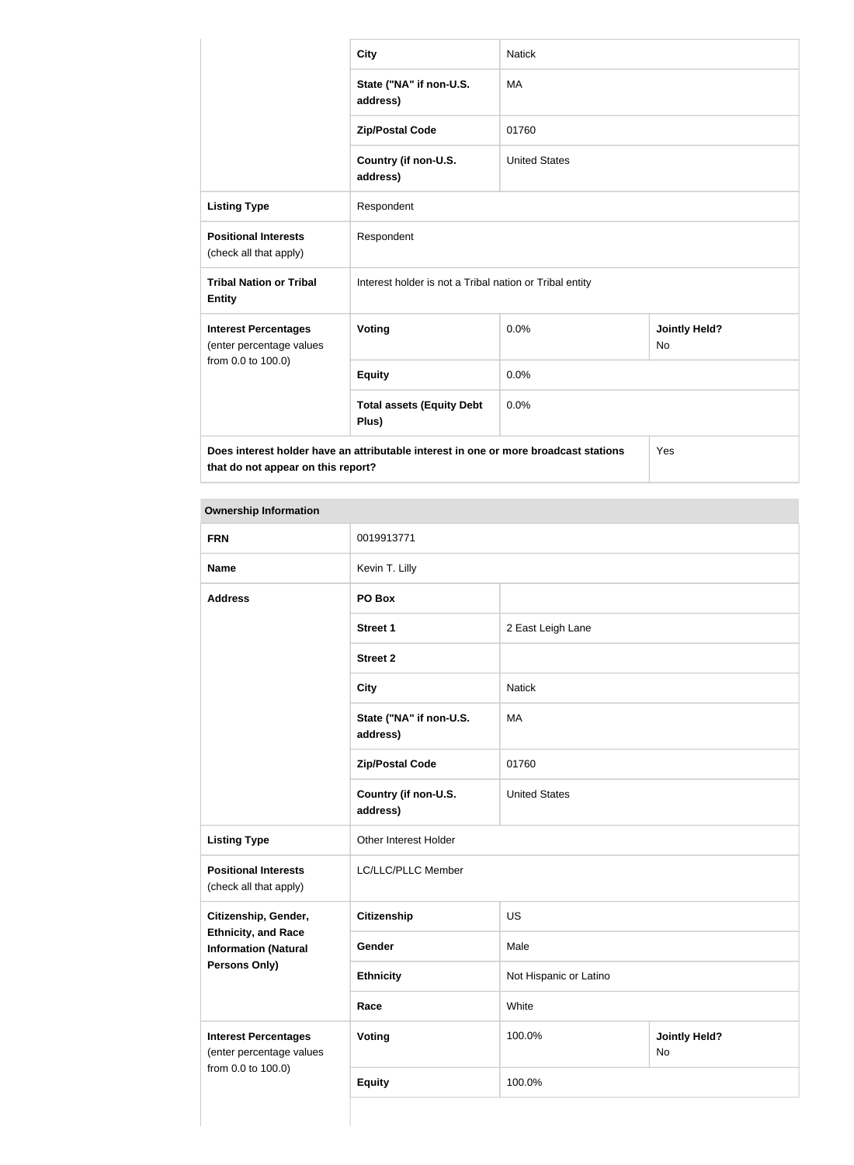|                                                         | <b>City</b>                                                                          | <b>Natick</b>        |                                   |
|---------------------------------------------------------|--------------------------------------------------------------------------------------|----------------------|-----------------------------------|
|                                                         | State ("NA" if non-U.S.<br>address)                                                  | <b>MA</b>            |                                   |
|                                                         | <b>Zip/Postal Code</b>                                                               | 01760                |                                   |
|                                                         | Country (if non-U.S.<br>address)                                                     | <b>United States</b> |                                   |
| <b>Listing Type</b>                                     | Respondent                                                                           |                      |                                   |
| <b>Positional Interests</b><br>(check all that apply)   | Respondent                                                                           |                      |                                   |
| <b>Tribal Nation or Tribal</b><br><b>Entity</b>         | Interest holder is not a Tribal nation or Tribal entity                              |                      |                                   |
| <b>Interest Percentages</b><br>(enter percentage values | <b>Voting</b>                                                                        | 0.0%                 | <b>Jointly Held?</b><br><b>No</b> |
| from 0.0 to 100.0)                                      | <b>Equity</b>                                                                        | 0.0%                 |                                   |
|                                                         | <b>Total assets (Equity Debt</b><br>Plus)                                            | 0.0%                 |                                   |
| that do not appear on this report?                      | Does interest holder have an attributable interest in one or more broadcast stations |                      | Yes                               |

#### **Ownership Information**

| <b>FRN</b>                                                                    | 0019913771                          |                        |                            |
|-------------------------------------------------------------------------------|-------------------------------------|------------------------|----------------------------|
| <b>Name</b>                                                                   | Kevin T. Lilly                      |                        |                            |
| <b>Address</b>                                                                | PO Box                              |                        |                            |
|                                                                               | <b>Street 1</b>                     | 2 East Leigh Lane      |                            |
|                                                                               | <b>Street 2</b>                     |                        |                            |
|                                                                               | <b>City</b>                         | <b>Natick</b>          |                            |
|                                                                               | State ("NA" if non-U.S.<br>address) | MA                     |                            |
|                                                                               | <b>Zip/Postal Code</b>              | 01760                  |                            |
|                                                                               | Country (if non-U.S.<br>address)    | <b>United States</b>   |                            |
| <b>Listing Type</b>                                                           | Other Interest Holder               |                        |                            |
| <b>Positional Interests</b><br>(check all that apply)                         | LC/LLC/PLLC Member                  |                        |                            |
| Citizenship, Gender,                                                          | Citizenship<br><b>US</b>            |                        |                            |
| <b>Ethnicity, and Race</b><br><b>Information (Natural</b>                     | Gender                              | Male                   |                            |
| <b>Persons Only)</b>                                                          | <b>Ethnicity</b>                    | Not Hispanic or Latino |                            |
|                                                                               | Race                                | White                  |                            |
| <b>Interest Percentages</b><br>(enter percentage values<br>from 0.0 to 100.0) | <b>Voting</b>                       | 100.0%                 | <b>Jointly Held?</b><br>No |
|                                                                               | <b>Equity</b>                       | 100.0%                 |                            |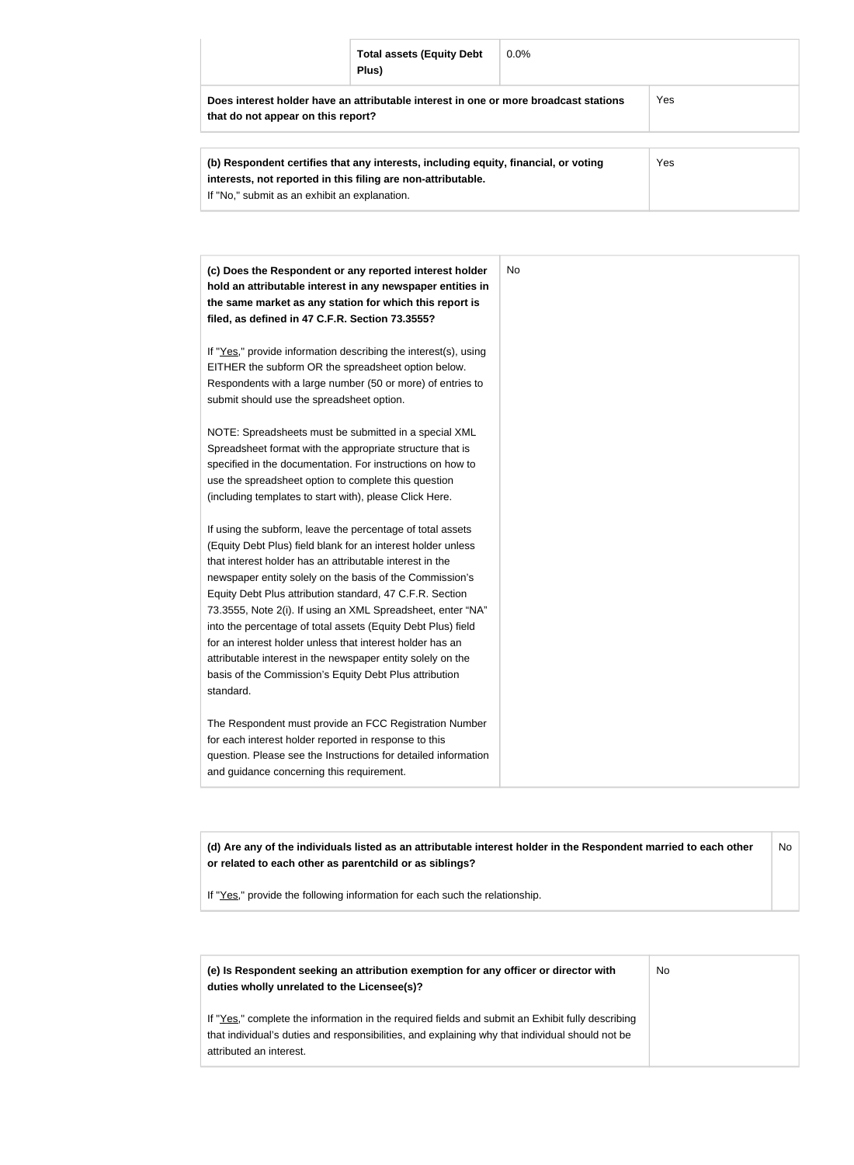|                                    | <b>Total assets (Equity Debt</b><br>Plus)                                            | $0.0\%$ |     |  |
|------------------------------------|--------------------------------------------------------------------------------------|---------|-----|--|
| that do not appear on this report? | Does interest holder have an attributable interest in one or more broadcast stations |         | Yes |  |
|                                    |                                                                                      |         |     |  |
|                                    | (b) Respondent certifies that any interests, including equity, financial, or voting  |         | Yes |  |

| (b) Respondent centiles that any interests, including equity, imancial, or voting | । ৮১ |
|-----------------------------------------------------------------------------------|------|
| interests, not reported in this filing are non-attributable.                      |      |
| If "No," submit as an exhibit an explanation.                                     |      |
|                                                                                   |      |

| (c) Does the Respondent or any reported interest holder         | No |
|-----------------------------------------------------------------|----|
| hold an attributable interest in any newspaper entities in      |    |
| the same market as any station for which this report is         |    |
| filed, as defined in 47 C.F.R. Section 73.3555?                 |    |
| If "Yes," provide information describing the interest(s), using |    |
| EITHER the subform OR the spreadsheet option below.             |    |
| Respondents with a large number (50 or more) of entries to      |    |
| submit should use the spreadsheet option.                       |    |
| NOTE: Spreadsheets must be submitted in a special XML           |    |
| Spreadsheet format with the appropriate structure that is       |    |
| specified in the documentation. For instructions on how to      |    |
| use the spreadsheet option to complete this question            |    |
| (including templates to start with), please Click Here.         |    |
| If using the subform, leave the percentage of total assets      |    |
| (Equity Debt Plus) field blank for an interest holder unless    |    |
| that interest holder has an attributable interest in the        |    |
| newspaper entity solely on the basis of the Commission's        |    |
| Equity Debt Plus attribution standard, 47 C.F.R. Section        |    |
| 73.3555, Note 2(i). If using an XML Spreadsheet, enter "NA"     |    |
| into the percentage of total assets (Equity Debt Plus) field    |    |
| for an interest holder unless that interest holder has an       |    |
| attributable interest in the newspaper entity solely on the     |    |
| basis of the Commission's Equity Debt Plus attribution          |    |
| standard.                                                       |    |
| The Respondent must provide an FCC Registration Number          |    |
| for each interest holder reported in response to this           |    |
| question. Please see the Instructions for detailed information  |    |
| and guidance concerning this requirement.                       |    |

**(d) Are any of the individuals listed as an attributable interest holder in the Respondent married to each other or related to each other as parentchild or as siblings?** No

If "Yes," provide the following information for each such the relationship.

| (e) Is Respondent seeking an attribution exemption for any officer or director with<br>duties wholly unrelated to the Licensee(s)?                                                                                             | No |
|--------------------------------------------------------------------------------------------------------------------------------------------------------------------------------------------------------------------------------|----|
| If "Yes," complete the information in the required fields and submit an Exhibit fully describing<br>that individual's duties and responsibilities, and explaining why that individual should not be<br>attributed an interest. |    |